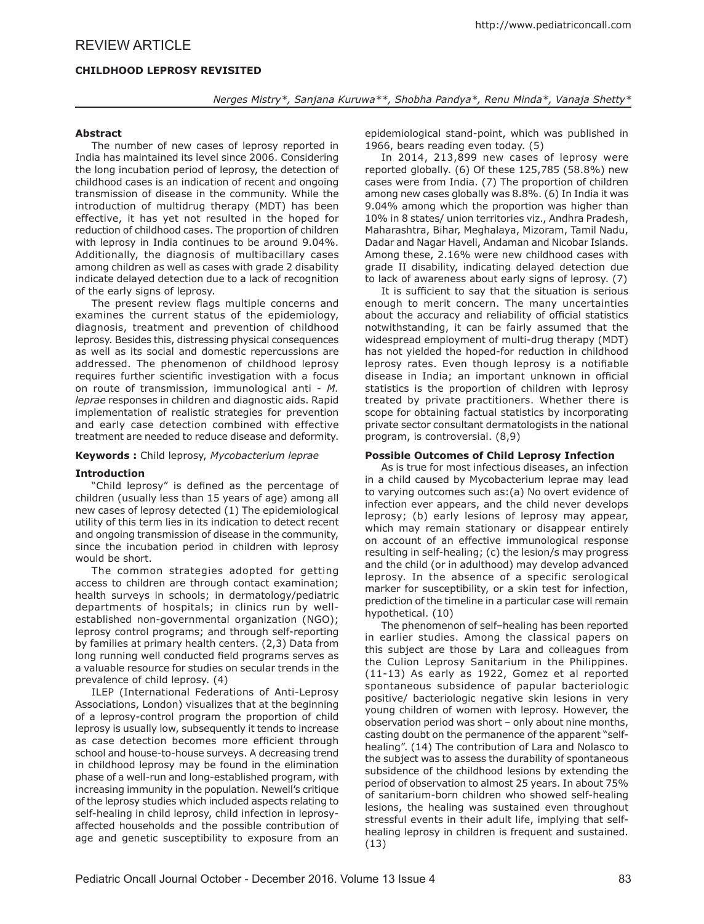# **CHILDHOOD LEPROSY REVISITED**

*Nerges Mistry\*, Sanjana Kuruwa\*\*, Shobha Pandya\*, Renu Minda\*, Vanaja Shetty\**

# **Abstract**

The number of new cases of leprosy reported in India has maintained its level since 2006. Considering the long incubation period of leprosy, the detection of childhood cases is an indication of recent and ongoing transmission of disease in the community. While the introduction of multidrug therapy (MDT) has been effective, it has yet not resulted in the hoped for reduction of childhood cases. The proportion of children with leprosy in India continues to be around 9.04%. Additionally, the diagnosis of multibacillary cases among children as well as cases with grade 2 disability indicate delayed detection due to a lack of recognition of the early signs of leprosy.

The present review flags multiple concerns and examines the current status of the epidemiology, diagnosis, treatment and prevention of childhood leprosy. Besides this, distressing physical consequences as well as its social and domestic repercussions are addressed. The phenomenon of childhood leprosy requires further scientific investigation with a focus on route of transmission, immunological anti - *M. leprae* responses in children and diagnostic aids. Rapid implementation of realistic strategies for prevention and early case detection combined with effective treatment are needed to reduce disease and deformity.

# **Keywords :** Child leprosy, *Mycobacterium leprae*

### **Introduction**

"Child leprosy" is defined as the percentage of children (usually less than 15 years of age) among all new cases of leprosy detected (1) The epidemiological utility of this term lies in its indication to detect recent and ongoing transmission of disease in the community, since the incubation period in children with leprosy would be short.

The common strategies adopted for getting access to children are through contact examination; health surveys in schools; in dermatology/pediatric departments of hospitals; in clinics run by wellestablished non-governmental organization (NGO); leprosy control programs; and through self-reporting by families at primary health centers. (2,3) Data from long running well conducted field programs serves as a valuable resource for studies on secular trends in the prevalence of child leprosy. (4)

ILEP (International Federations of Anti-Leprosy Associations, London) visualizes that at the beginning of a leprosy-control program the proportion of child leprosy is usually low, subsequently it tends to increase as case detection becomes more efficient through school and house-to-house surveys. A decreasing trend in childhood leprosy may be found in the elimination phase of a well-run and long-established program, with increasing immunity in the population. Newell's critique of the leprosy studies which included aspects relating to self-healing in child leprosy, child infection in leprosyaffected households and the possible contribution of age and genetic susceptibility to exposure from an

epidemiological stand-point, which was published in 1966, bears reading even today. (5)

In 2014, 213,899 new cases of leprosy were reported globally. (6) Of these 125,785 (58.8%) new cases were from India. (7) The proportion of children among new cases globally was 8.8%. (6) In India it was 9.04% among which the proportion was higher than 10% in 8 states/ union territories viz., Andhra Pradesh, Maharashtra, Bihar, Meghalaya, Mizoram, Tamil Nadu, Dadar and Nagar Haveli, Andaman and Nicobar Islands. Among these, 2.16% were new childhood cases with grade II disability, indicating delayed detection due to lack of awareness about early signs of leprosy. (7)

It is sufficient to say that the situation is serious enough to merit concern. The many uncertainties about the accuracy and reliability of official statistics notwithstanding, it can be fairly assumed that the widespread employment of multi-drug therapy (MDT) has not yielded the hoped-for reduction in childhood leprosy rates. Even though leprosy is a notifiable disease in India; an important unknown in official statistics is the proportion of children with leprosy treated by private practitioners. Whether there is scope for obtaining factual statistics by incorporating private sector consultant dermatologists in the national program, is controversial. (8,9)

# **Possible Outcomes of Child Leprosy Infection**

As is true for most infectious diseases, an infection in a child caused by Mycobacterium leprae may lead to varying outcomes such as:(a) No overt evidence of infection ever appears, and the child never develops leprosy; (b) early lesions of leprosy may appear, which may remain stationary or disappear entirely on account of an effective immunological response resulting in self-healing; (c) the lesion/s may progress and the child (or in adulthood) may develop advanced leprosy. In the absence of a specific serological marker for susceptibility, or a skin test for infection, prediction of the timeline in a particular case will remain hypothetical. (10)

The phenomenon of self–healing has been reported in earlier studies. Among the classical papers on this subject are those by Lara and colleagues from the Culion Leprosy Sanitarium in the Philippines. (11-13) As early as 1922, Gomez et al reported spontaneous subsidence of papular bacteriologic positive/ bacteriologic negative skin lesions in very young children of women with leprosy. However, the observation period was short – only about nine months, casting doubt on the permanence of the apparent "selfhealing". (14) The contribution of Lara and Nolasco to the subject was to assess the durability of spontaneous subsidence of the childhood lesions by extending the period of observation to almost 25 years. In about 75% of sanitarium-born children who showed self-healing lesions, the healing was sustained even throughout stressful events in their adult life, implying that selfhealing leprosy in children is frequent and sustained. (13)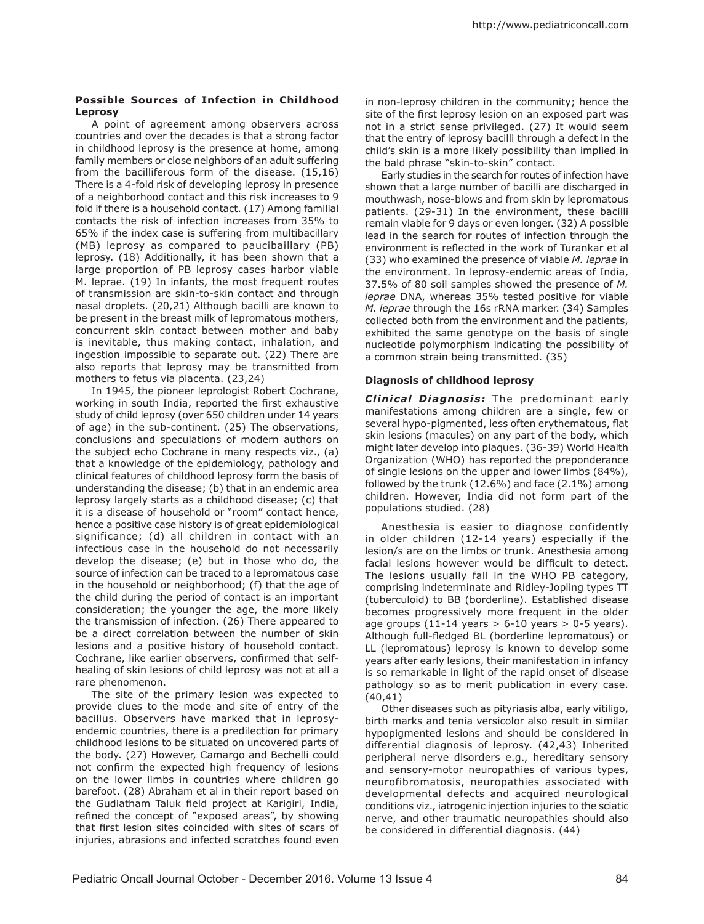## **Possible Sources of Infection in Childhood Leprosy**

A point of agreement among observers across countries and over the decades is that a strong factor in childhood leprosy is the presence at home, among family members or close neighbors of an adult suffering from the bacilliferous form of the disease. (15,16) There is a 4-fold risk of developing leprosy in presence of a neighborhood contact and this risk increases to 9 fold if there is a household contact. (17) Among familial contacts the risk of infection increases from 35% to 65% if the index case is suffering from multibacillary (MB) leprosy as compared to paucibaillary (PB) leprosy. (18) Additionally, it has been shown that a large proportion of PB leprosy cases harbor viable M. leprae. (19) In infants, the most frequent routes of transmission are skin-to-skin contact and through nasal droplets. (20,21) Although bacilli are known to be present in the breast milk of lepromatous mothers, concurrent skin contact between mother and baby is inevitable, thus making contact, inhalation, and ingestion impossible to separate out. (22) There are also reports that leprosy may be transmitted from mothers to fetus via placenta. (23,24)

In 1945, the pioneer leprologist Robert Cochrane, working in south India, reported the first exhaustive study of child leprosy (over 650 children under 14 years of age) in the sub-continent. (25) The observations, conclusions and speculations of modern authors on the subject echo Cochrane in many respects viz., (a) that a knowledge of the epidemiology, pathology and clinical features of childhood leprosy form the basis of understanding the disease; (b) that in an endemic area leprosy largely starts as a childhood disease; (c) that it is a disease of household or "room" contact hence, hence a positive case history is of great epidemiological significance; (d) all children in contact with an infectious case in the household do not necessarily develop the disease; (e) but in those who do, the source of infection can be traced to a lepromatous case in the household or neighborhood; (f) that the age of the child during the period of contact is an important consideration; the younger the age, the more likely the transmission of infection. (26) There appeared to be a direct correlation between the number of skin lesions and a positive history of household contact. Cochrane, like earlier observers, confirmed that selfhealing of skin lesions of child leprosy was not at all a rare phenomenon.

The site of the primary lesion was expected to provide clues to the mode and site of entry of the bacillus. Observers have marked that in leprosyendemic countries, there is a predilection for primary childhood lesions to be situated on uncovered parts of the body. (27) However, Camargo and Bechelli could not confirm the expected high frequency of lesions on the lower limbs in countries where children go barefoot. (28) Abraham et al in their report based on the Gudiatham Taluk field project at Karigiri, India, refined the concept of "exposed areas", by showing that first lesion sites coincided with sites of scars of injuries, abrasions and infected scratches found even

in non-leprosy children in the community; hence the site of the first leprosy lesion on an exposed part was not in a strict sense privileged. (27) It would seem that the entry of leprosy bacilli through a defect in the child's skin is a more likely possibility than implied in the bald phrase "skin-to-skin" contact.

Early studies in the search for routes of infection have shown that a large number of bacilli are discharged in mouthwash, nose-blows and from skin by lepromatous patients. (29-31) In the environment, these bacilli remain viable for 9 days or even longer. (32) A possible lead in the search for routes of infection through the environment is reflected in the work of Turankar et al (33) who examined the presence of viable *M. leprae* in the environment. In leprosy-endemic areas of India, 37.5% of 80 soil samples showed the presence of *M. leprae* DNA, whereas 35% tested positive for viable *M. leprae* through the 16s rRNA marker. (34) Samples collected both from the environment and the patients, exhibited the same genotype on the basis of single nucleotide polymorphism indicating the possibility of a common strain being transmitted. (35)

# **Diagnosis of childhood leprosy**

**Clinical Diagnosis:** The predominant early manifestations among children are a single, few or several hypo-pigmented, less often erythematous, flat skin lesions (macules) on any part of the body, which might later develop into plaques. (36-39) World Health Organization (WHO) has reported the preponderance of single lesions on the upper and lower limbs (84%), followed by the trunk (12.6%) and face (2.1%) among children. However, India did not form part of the populations studied. (28)

Anesthesia is easier to diagnose confidently in older children (12-14 years) especially if the lesion/s are on the limbs or trunk. Anesthesia among facial lesions however would be difficult to detect. The lesions usually fall in the WHO PB category, comprising indeterminate and Ridley-Jopling types TT (tuberculoid) to BB (borderline). Established disease becomes progressively more frequent in the older age groups  $(11-14 \text{ years} > 6-10 \text{ years} > 0-5 \text{ years}).$ Although full-fledged BL (borderline lepromatous) or LL (lepromatous) leprosy is known to develop some years after early lesions, their manifestation in infancy is so remarkable in light of the rapid onset of disease pathology so as to merit publication in every case. (40,41)

Other diseases such as pityriasis alba, early vitiligo, birth marks and tenia versicolor also result in similar hypopigmented lesions and should be considered in differential diagnosis of leprosy. (42,43) Inherited peripheral nerve disorders e.g., hereditary sensory and sensory-motor neuropathies of various types, neurofibromatosis, neuropathies associated with developmental defects and acquired neurological conditions viz., iatrogenic injection injuries to the sciatic nerve, and other traumatic neuropathies should also be considered in differential diagnosis. (44)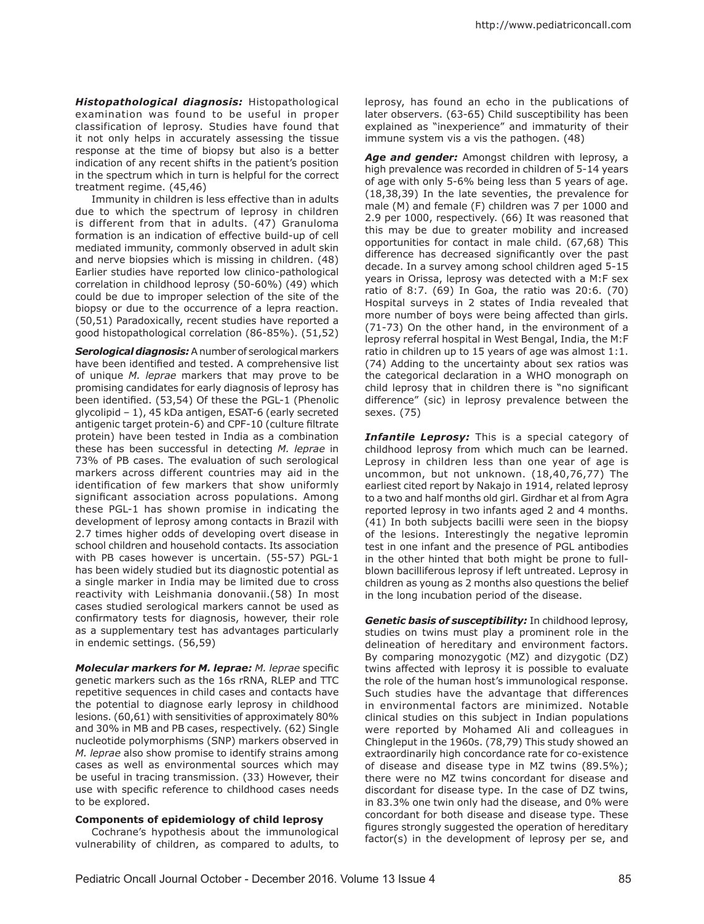*Histopathological diagnosis:* Histopathological examination was found to be useful in proper classification of leprosy. Studies have found that it not only helps in accurately assessing the tissue response at the time of biopsy but also is a better indication of any recent shifts in the patient's position in the spectrum which in turn is helpful for the correct treatment regime. (45,46)

Immunity in children is less effective than in adults due to which the spectrum of leprosy in children is different from that in adults. (47) Granuloma formation is an indication of effective build-up of cell mediated immunity, commonly observed in adult skin and nerve biopsies which is missing in children. (48) Earlier studies have reported low clinico-pathological correlation in childhood leprosy (50-60%) (49) which could be due to improper selection of the site of the biopsy or due to the occurrence of a lepra reaction. (50,51) Paradoxically, recent studies have reported a good histopathological correlation (86-85%). (51,52)

*Serological diagnosis:* A number of serological markers have been identified and tested. A comprehensive list of unique *M. leprae* markers that may prove to be promising candidates for early diagnosis of leprosy has been identified. (53,54) Of these the PGL-1 (Phenolic glycolipid – 1), 45 kDa antigen, ESAT-6 (early secreted antigenic target protein-6) and CPF-10 (culture filtrate protein) have been tested in India as a combination these has been successful in detecting *M. leprae* in 73% of PB cases. The evaluation of such serological markers across different countries may aid in the identification of few markers that show uniformly significant association across populations. Among these PGL-1 has shown promise in indicating the development of leprosy among contacts in Brazil with 2.7 times higher odds of developing overt disease in school children and household contacts. Its association with PB cases however is uncertain. (55-57) PGL-1 has been widely studied but its diagnostic potential as a single marker in India may be limited due to cross reactivity with Leishmania donovanii.(58) In most cases studied serological markers cannot be used as confirmatory tests for diagnosis, however, their role as a supplementary test has advantages particularly in endemic settings. (56,59)

*Molecular markers for M. leprae: M. leprae* specific genetic markers such as the 16s rRNA, RLEP and TTC repetitive sequences in child cases and contacts have the potential to diagnose early leprosy in childhood lesions. (60,61) with sensitivities of approximately 80% and 30% in MB and PB cases, respectively. (62) Single nucleotide polymorphisms (SNP) markers observed in *M. leprae* also show promise to identify strains among cases as well as environmental sources which may be useful in tracing transmission. (33) However, their use with specific reference to childhood cases needs to be explored.

# **Components of epidemiology of child leprosy**

Cochrane's hypothesis about the immunological vulnerability of children, as compared to adults, to leprosy, has found an echo in the publications of later observers. (63-65) Child susceptibility has been explained as "inexperience" and immaturity of their immune system vis a vis the pathogen. (48)

*Age and gender:* Amongst children with leprosy, a high prevalence was recorded in children of 5-14 years of age with only 5-6% being less than 5 years of age. (18,38,39) In the late seventies, the prevalence for male (M) and female (F) children was 7 per 1000 and 2.9 per 1000, respectively. (66) It was reasoned that this may be due to greater mobility and increased opportunities for contact in male child. (67,68) This difference has decreased significantly over the past decade. In a survey among school children aged 5-15 years in Orissa, leprosy was detected with a M:F sex ratio of 8:7. (69) In Goa, the ratio was 20:6. (70) Hospital surveys in 2 states of India revealed that more number of boys were being affected than girls. (71-73) On the other hand, in the environment of a leprosy referral hospital in West Bengal, India, the M:F ratio in children up to 15 years of age was almost 1:1. (74) Adding to the uncertainty about sex ratios was the categorical declaration in a WHO monograph on child leprosy that in children there is "no significant difference" (sic) in leprosy prevalence between the sexes. (75)

**Infantile Leprosy:** This is a special category of childhood leprosy from which much can be learned. Leprosy in children less than one year of age is uncommon, but not unknown. (18,40,76,77) The earliest cited report by Nakajo in 1914, related leprosy to a two and half months old girl. Girdhar et al from Agra reported leprosy in two infants aged 2 and 4 months. (41) In both subjects bacilli were seen in the biopsy of the lesions. Interestingly the negative lepromin test in one infant and the presence of PGL antibodies in the other hinted that both might be prone to fullblown bacilliferous leprosy if left untreated. Leprosy in children as young as 2 months also questions the belief in the long incubation period of the disease.

*Genetic basis of susceptibility:* In childhood leprosy, studies on twins must play a prominent role in the delineation of hereditary and environment factors. By comparing monozygotic (MZ) and dizygotic (DZ) twins affected with leprosy it is possible to evaluate the role of the human host's immunological response. Such studies have the advantage that differences in environmental factors are minimized. Notable clinical studies on this subject in Indian populations were reported by Mohamed Ali and colleagues in Chingleput in the 1960s. (78,79) This study showed an extraordinarily high concordance rate for co-existence of disease and disease type in MZ twins (89.5%); there were no MZ twins concordant for disease and discordant for disease type. In the case of DZ twins, in 83.3% one twin only had the disease, and 0% were concordant for both disease and disease type. These figures strongly suggested the operation of hereditary factor(s) in the development of leprosy per se, and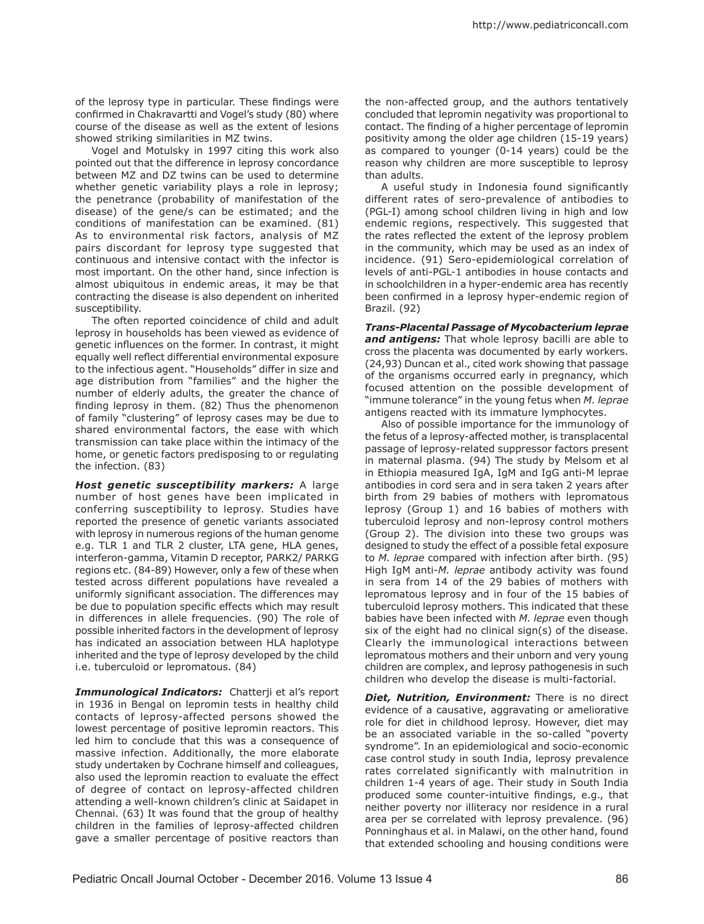of the leprosy type in particular. These findings were confirmed in Chakravartti and Vogel's study (80) where course of the disease as well as the extent of lesions showed striking similarities in MZ twins.

Vogel and Motulsky in 1997 citing this work also pointed out that the difference in leprosy concordance between MZ and DZ twins can be used to determine whether genetic variability plays a role in leprosy; the penetrance (probability of manifestation of the disease) of the gene/s can be estimated; and the conditions of manifestation can be examined. (81) As to environmental risk factors, analysis of MZ pairs discordant for leprosy type suggested that continuous and intensive contact with the infector is most important. On the other hand, since infection is almost ubiquitous in endemic areas, it may be that contracting the disease is also dependent on inherited susceptibility.

The often reported coincidence of child and adult leprosy in households has been viewed as evidence of genetic influences on the former. In contrast, it might equally well reflect differential environmental exposure to the infectious agent. "Households" differ in size and age distribution from "families" and the higher the number of elderly adults, the greater the chance of finding leprosy in them. (82) Thus the phenomenon of family "clustering" of leprosy cases may be due to shared environmental factors, the ease with which transmission can take place within the intimacy of the home, or genetic factors predisposing to or regulating the infection. (83)

*Host genetic susceptibility markers:* A large number of host genes have been implicated in conferring susceptibility to leprosy. Studies have reported the presence of genetic variants associated with leprosy in numerous regions of the human genome e.g. TLR 1 and TLR 2 cluster, LTA gene, HLA genes, interferon-gamma, Vitamin D receptor, PARK2/ PARKG regions etc. (84-89) However, only a few of these when tested across different populations have revealed a uniformly significant association. The differences may be due to population specific effects which may result in differences in allele frequencies. (90) The role of possible inherited factors in the development of leprosy has indicated an association between HLA haplotype inherited and the type of leprosy developed by the child i.e. tuberculoid or lepromatous. (84)

*Immunological Indicators:* Chatterji et al's report in 1936 in Bengal on lepromin tests in healthy child contacts of leprosy-affected persons showed the lowest percentage of positive lepromin reactors. This led him to conclude that this was a consequence of massive infection. Additionally, the more elaborate study undertaken by Cochrane himself and colleagues, also used the lepromin reaction to evaluate the effect of degree of contact on leprosy-affected children attending a well-known children's clinic at Saidapet in Chennai. (63) It was found that the group of healthy children in the families of leprosy-affected children gave a smaller percentage of positive reactors than the non-affected group, and the authors tentatively concluded that lepromin negativity was proportional to contact. The finding of a higher percentage of lepromin positivity among the older age children (15-19 years) as compared to younger (0-14 years) could be the reason why children are more susceptible to leprosy than adults.

A useful study in Indonesia found significantly different rates of sero-prevalence of antibodies to (PGL-I) among school children living in high and low endemic regions, respectively. This suggested that the rates reflected the extent of the leprosy problem in the community, which may be used as an index of incidence. (91) Sero-epidemiological correlation of levels of anti-PGL-1 antibodies in house contacts and in schoolchildren in a hyper-endemic area has recently been confirmed in a leprosy hyper-endemic region of Brazil. (92)

*Trans-Placental Passage of Mycobacterium leprae and antigens:* That whole leprosy bacilli are able to cross the placenta was documented by early workers. (24,93) Duncan et al., cited work showing that passage of the organisms occurred early in pregnancy, which focused attention on the possible development of "immune tolerance" in the young fetus when *M. leprae*  antigens reacted with its immature lymphocytes.

Also of possible importance for the immunology of the fetus of a leprosy-affected mother, is transplacental passage of leprosy-related suppressor factors present in maternal plasma. (94) The study by Melsom et al in Ethiopia measured IgA, IgM and IgG anti-M leprae antibodies in cord sera and in sera taken 2 years after birth from 29 babies of mothers with lepromatous leprosy (Group 1) and 16 babies of mothers with tuberculoid leprosy and non-leprosy control mothers (Group 2). The division into these two groups was designed to study the effect of a possible fetal exposure to *M. leprae* compared with infection after birth. (95) High IgM anti-*M. leprae* antibody activity was found in sera from 14 of the 29 babies of mothers with lepromatous leprosy and in four of the 15 babies of tuberculoid leprosy mothers. This indicated that these babies have been infected with *M. leprae* even though six of the eight had no clinical sign(s) of the disease. Clearly the immunological interactions between lepromatous mothers and their unborn and very young children are complex, and leprosy pathogenesis in such children who develop the disease is multi-factorial.

*Diet, Nutrition, Environment:* There is no direct evidence of a causative, aggravating or ameliorative role for diet in childhood leprosy. However, diet may be an associated variable in the so-called "poverty syndrome". In an epidemiological and socio-economic case control study in south India, leprosy prevalence rates correlated significantly with malnutrition in children 1-4 years of age. Their study in South India produced some counter-intuitive findings, e.g., that neither poverty nor illiteracy nor residence in a rural area per se correlated with leprosy prevalence. (96) Ponninghaus et al. in Malawi, on the other hand, found that extended schooling and housing conditions were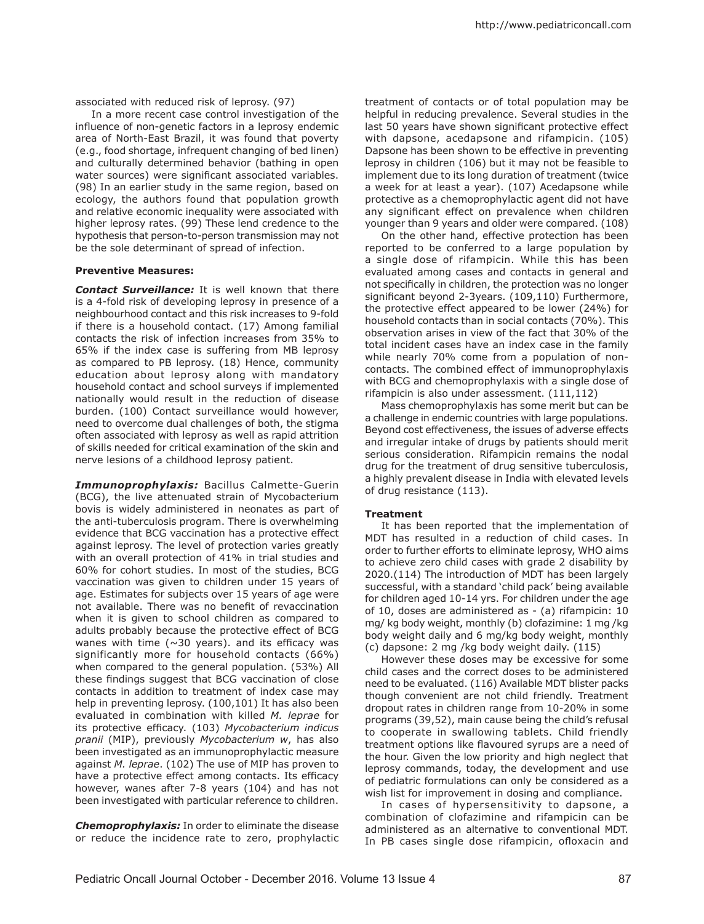associated with reduced risk of leprosy. (97)

In a more recent case control investigation of the influence of non-genetic factors in a leprosy endemic area of North-East Brazil, it was found that poverty (e.g., food shortage, infrequent changing of bed linen) and culturally determined behavior (bathing in open water sources) were significant associated variables. (98) In an earlier study in the same region, based on ecology, the authors found that population growth and relative economic inequality were associated with higher leprosy rates. (99) These lend credence to the hypothesis that person-to-person transmission may not be the sole determinant of spread of infection.

### **Preventive Measures:**

*Contact Surveillance:* It is well known that there is a 4-fold risk of developing leprosy in presence of a neighbourhood contact and this risk increases to 9-fold if there is a household contact. (17) Among familial contacts the risk of infection increases from 35% to 65% if the index case is suffering from MB leprosy as compared to PB leprosy. (18) Hence, community education about leprosy along with mandatory household contact and school surveys if implemented nationally would result in the reduction of disease burden. (100) Contact surveillance would however, need to overcome dual challenges of both, the stigma often associated with leprosy as well as rapid attrition of skills needed for critical examination of the skin and nerve lesions of a childhood leprosy patient.

*Immunoprophylaxis:* Bacillus Calmette-Guerin (BCG), the live attenuated strain of Mycobacterium bovis is widely administered in neonates as part of the anti-tuberculosis program. There is overwhelming evidence that BCG vaccination has a protective effect against leprosy. The level of protection varies greatly with an overall protection of 41% in trial studies and 60% for cohort studies. In most of the studies, BCG vaccination was given to children under 15 years of age. Estimates for subjects over 15 years of age were not available. There was no benefit of revaccination when it is given to school children as compared to adults probably because the protective effect of BCG wanes with time ( $\sim$ 30 years). and its efficacy was significantly more for household contacts (66%) when compared to the general population. (53%) All these findings suggest that BCG vaccination of close contacts in addition to treatment of index case may help in preventing leprosy. (100,101) It has also been evaluated in combination with killed *M. leprae* for its protective efficacy. (103) *Mycobacterium indicus pranii* (MIP), previously *Mycobacterium w*, has also been investigated as an immunoprophylactic measure against *M. leprae*. (102) The use of MIP has proven to have a protective effect among contacts. Its efficacy however, wanes after 7-8 years (104) and has not been investigated with particular reference to children.

*Chemoprophylaxis:* In order to eliminate the disease or reduce the incidence rate to zero, prophylactic treatment of contacts or of total population may be helpful in reducing prevalence. Several studies in the last 50 years have shown significant protective effect with dapsone, acedapsone and rifampicin. (105) Dapsone has been shown to be effective in preventing leprosy in children (106) but it may not be feasible to implement due to its long duration of treatment (twice a week for at least a year). (107) Acedapsone while protective as a chemoprophylactic agent did not have any significant effect on prevalence when children younger than 9 years and older were compared. (108)

On the other hand, effective protection has been reported to be conferred to a large population by a single dose of rifampicin. While this has been evaluated among cases and contacts in general and not specifically in children, the protection was no longer significant beyond 2-3years. (109,110) Furthermore, the protective effect appeared to be lower (24%) for household contacts than in social contacts (70%). This observation arises in view of the fact that 30% of the total incident cases have an index case in the family while nearly 70% come from a population of noncontacts. The combined effect of immunoprophylaxis with BCG and chemoprophylaxis with a single dose of rifampicin is also under assessment. (111,112)

Mass chemoprophylaxis has some merit but can be a challenge in endemic countries with large populations. Beyond cost effectiveness, the issues of adverse effects and irregular intake of drugs by patients should merit serious consideration. Rifampicin remains the nodal drug for the treatment of drug sensitive tuberculosis, a highly prevalent disease in India with elevated levels of drug resistance (113).

#### **Treatment**

It has been reported that the implementation of MDT has resulted in a reduction of child cases. In order to further efforts to eliminate leprosy, WHO aims to achieve zero child cases with grade 2 disability by 2020.(114) The introduction of MDT has been largely successful, with a standard 'child pack' being available for children aged 10-14 yrs. For children under the age of 10, doses are administered as - (a) rifampicin: 10 mg/ kg body weight, monthly (b) clofazimine: 1 mg /kg body weight daily and 6 mg/kg body weight, monthly (c) dapsone: 2 mg /kg body weight daily. (115)

However these doses may be excessive for some child cases and the correct doses to be administered need to be evaluated. (116) Available MDT blister packs though convenient are not child friendly. Treatment dropout rates in children range from 10-20% in some programs (39,52), main cause being the child's refusal to cooperate in swallowing tablets. Child friendly treatment options like flavoured syrups are a need of the hour. Given the low priority and high neglect that leprosy commands, today, the development and use of pediatric formulations can only be considered as a wish list for improvement in dosing and compliance.

In cases of hypersensitivity to dapsone, a combination of clofazimine and rifampicin can be administered as an alternative to conventional MDT. In PB cases single dose rifampicin, ofloxacin and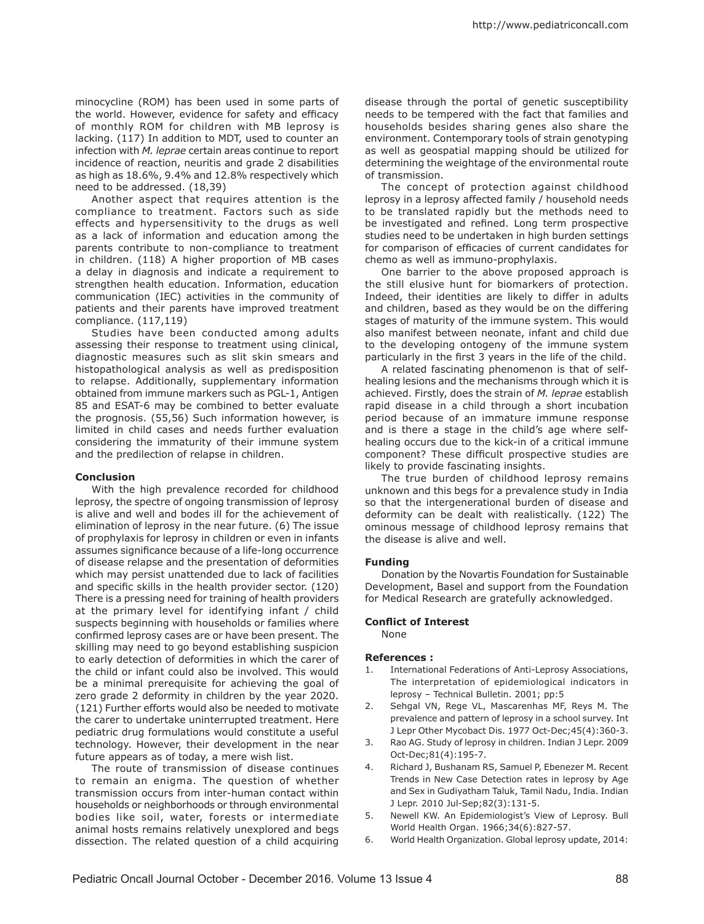minocycline (ROM) has been used in some parts of the world. However, evidence for safety and efficacy of monthly ROM for children with MB leprosy is lacking. (117) In addition to MDT, used to counter an infection with *M. leprae* certain areas continue to report incidence of reaction, neuritis and grade 2 disabilities as high as 18.6%, 9.4% and 12.8% respectively which need to be addressed. (18,39)

Another aspect that requires attention is the compliance to treatment. Factors such as side effects and hypersensitivity to the drugs as well as a lack of information and education among the parents contribute to non-compliance to treatment in children. (118) A higher proportion of MB cases a delay in diagnosis and indicate a requirement to strengthen health education. Information, education communication (IEC) activities in the community of patients and their parents have improved treatment compliance. (117,119)

Studies have been conducted among adults assessing their response to treatment using clinical, diagnostic measures such as slit skin smears and histopathological analysis as well as predisposition to relapse. Additionally, supplementary information obtained from immune markers such as PGL-1, Antigen 85 and ESAT-6 may be combined to better evaluate the prognosis. (55,56) Such information however, is limited in child cases and needs further evaluation considering the immaturity of their immune system and the predilection of relapse in children.

### **Conclusion**

With the high prevalence recorded for childhood leprosy, the spectre of ongoing transmission of leprosy is alive and well and bodes ill for the achievement of elimination of leprosy in the near future. (6) The issue of prophylaxis for leprosy in children or even in infants assumes significance because of a life-long occurrence of disease relapse and the presentation of deformities which may persist unattended due to lack of facilities and specific skills in the health provider sector. (120) There is a pressing need for training of health providers at the primary level for identifying infant / child suspects beginning with households or families where confirmed leprosy cases are or have been present. The skilling may need to go beyond establishing suspicion to early detection of deformities in which the carer of the child or infant could also be involved. This would be a minimal prerequisite for achieving the goal of zero grade 2 deformity in children by the year 2020. (121) Further efforts would also be needed to motivate the carer to undertake uninterrupted treatment. Here pediatric drug formulations would constitute a useful technology. However, their development in the near future appears as of today, a mere wish list.

The route of transmission of disease continues to remain an enigma. The question of whether transmission occurs from inter-human contact within households or neighborhoods or through environmental bodies like soil, water, forests or intermediate animal hosts remains relatively unexplored and begs dissection. The related question of a child acquiring disease through the portal of genetic susceptibility needs to be tempered with the fact that families and households besides sharing genes also share the environment. Contemporary tools of strain genotyping as well as geospatial mapping should be utilized for determining the weightage of the environmental route of transmission.

The concept of protection against childhood leprosy in a leprosy affected family / household needs to be translated rapidly but the methods need to be investigated and refined. Long term prospective studies need to be undertaken in high burden settings for comparison of efficacies of current candidates for chemo as well as immuno-prophylaxis.

One barrier to the above proposed approach is the still elusive hunt for biomarkers of protection. Indeed, their identities are likely to differ in adults and children, based as they would be on the differing stages of maturity of the immune system. This would also manifest between neonate, infant and child due to the developing ontogeny of the immune system particularly in the first 3 years in the life of the child.

A related fascinating phenomenon is that of selfhealing lesions and the mechanisms through which it is achieved. Firstly, does the strain of *M. leprae* establish rapid disease in a child through a short incubation period because of an immature immune response and is there a stage in the child's age where selfhealing occurs due to the kick-in of a critical immune component? These difficult prospective studies are likely to provide fascinating insights.

The true burden of childhood leprosy remains unknown and this begs for a prevalence study in India so that the intergenerational burden of disease and deformity can be dealt with realistically. (122) The ominous message of childhood leprosy remains that the disease is alive and well.

#### **Funding**

Donation by the Novartis Foundation for Sustainable Development, Basel and support from the Foundation for Medical Research are gratefully acknowledged.

#### **Conflict of Interest**

None

#### **References :**

- 1. International Federations of Anti-Leprosy Associations, The interpretation of epidemiological indicators in leprosy – Technical Bulletin. 2001; pp:5
- 2. Sehgal VN, Rege VL, Mascarenhas MF, Reys M. The prevalence and pattern of leprosy in a school survey. Int J Lepr Other Mycobact Dis. 1977 Oct-Dec;45(4):360-3.
- 3. Rao AG. Study of leprosy in children. Indian J Lepr. 2009 Oct-Dec;81(4):195-7.
- 4. Richard J, Bushanam RS, Samuel P, Ebenezer M. Recent Trends in New Case Detection rates in leprosy by Age and Sex in Gudiyatham Taluk, Tamil Nadu, India. Indian J Lepr. 2010 Jul-Sep;82(3):131-5.
- 5. Newell KW. An Epidemiologist's View of Leprosy. Bull World Health Organ. 1966;34(6):827-57.
- 6. World Health Organization. Global leprosy update, 2014: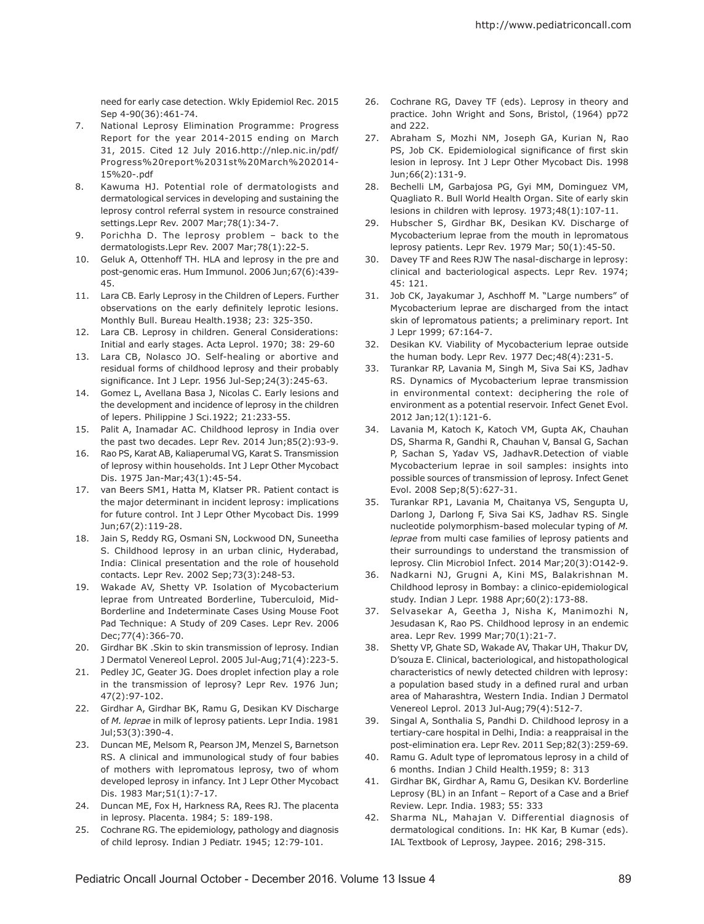need for early case detection. Wkly Epidemiol Rec. 2015 Sep 4-90(36):461-74.

- 7. National Leprosy Elimination Programme: Progress Report for the year 2014-2015 ending on March 31, 2015. Cited 12 July 2016.http://nlep.nic.in/pdf/ Progress%20report%2031st%20March%202014- 15%20-.pdf
- 8. Kawuma HJ. Potential role of dermatologists and dermatological services in developing and sustaining the leprosy control referral system in resource constrained settings.Lepr Rev. 2007 Mar;78(1):34-7.
- 9. Porichha D. The leprosy problem back to the dermatologists.Lepr Rev. 2007 Mar;78(1):22-5.
- 10. Geluk A, Ottenhoff TH. HLA and leprosy in the pre and post-genomic eras. Hum Immunol. 2006 Jun;67(6):439- 45.
- 11. Lara CB. Early Leprosy in the Children of Lepers. Further observations on the early definitely leprotic lesions. Monthly Bull. Bureau Health.1938; 23: 325-350.
- 12. Lara CB. Leprosy in children. General Considerations: Initial and early stages. Acta Leprol. 1970; 38: 29-60
- 13. Lara CB, Nolasco JO. Self-healing or abortive and residual forms of childhood leprosy and their probably significance. Int J Lepr. 1956 Jul-Sep;24(3):245-63.
- 14. Gomez L, Avellana Basa J, Nicolas C. Early lesions and the development and incidence of leprosy in the children of lepers. Philippine J Sci.1922; 21:233-55.
- 15. Palit A, Inamadar AC. Childhood leprosy in India over the past two decades. Lepr Rev. 2014 Jun;85(2):93-9.
- 16. Rao PS, Karat AB, Kaliaperumal VG, Karat S. Transmission of leprosy within households. Int J Lepr Other Mycobact Dis. 1975 Jan-Mar;43(1):45-54.
- 17. van Beers SM1, Hatta M, Klatser PR. Patient contact is the major determinant in incident leprosy: implications for future control. Int J Lepr Other Mycobact Dis. 1999 Jun;67(2):119-28.
- 18. Jain S, Reddy RG, Osmani SN, Lockwood DN, Suneetha S. Childhood leprosy in an urban clinic, Hyderabad, India: Clinical presentation and the role of household contacts. Lepr Rev. 2002 Sep;73(3):248-53.
- 19. Wakade AV, Shetty VP. Isolation of Mycobacterium leprae from Untreated Borderline, Tuberculoid, Mid-Borderline and Indeterminate Cases Using Mouse Foot Pad Technique: A Study of 209 Cases. Lepr Rev. 2006 Dec;77(4):366-70.
- 20. Girdhar BK .Skin to skin transmission of leprosy. Indian J Dermatol Venereol Leprol. 2005 Jul-Aug;71(4):223-5.
- 21. Pedley JC, Geater JG. Does droplet infection play a role in the transmission of leprosy? Lepr Rev. 1976 Jun; 47(2):97-102.
- 22. Girdhar A, Girdhar BK, Ramu G, Desikan KV Discharge of *M. leprae* in milk of leprosy patients. Lepr India. 1981 Jul;53(3):390-4.
- 23. Duncan ME, Melsom R, Pearson JM, Menzel S, Barnetson RS. A clinical and immunological study of four babies of mothers with lepromatous leprosy, two of whom developed leprosy in infancy. Int J Lepr Other Mycobact Dis. 1983 Mar;51(1):7-17.
- 24. Duncan ME, Fox H, Harkness RA, Rees RJ. The placenta in leprosy. Placenta. 1984; 5: 189-198.
- 25. Cochrane RG. The epidemiology, pathology and diagnosis of child leprosy. Indian J Pediatr. 1945; 12:79-101.
- 26. Cochrane RG, Davey TF (eds). Leprosy in theory and practice. John Wright and Sons, Bristol, (1964) pp72 and 222.
- 27. Abraham S, Mozhi NM, Joseph GA, Kurian N, Rao PS, Job CK. Epidemiological significance of first skin lesion in leprosy. Int J Lepr Other Mycobact Dis. 1998 Jun;66(2):131-9.
- 28. Bechelli LM, Garbajosa PG, Gyi MM, Dominguez VM, Quagliato R. Bull World Health Organ. Site of early skin lesions in children with leprosy. 1973;48(1):107-11.
- 29. Hubscher S, Girdhar BK, Desikan KV. Discharge of Mycobacterium leprae from the mouth in lepromatous leprosy patients. Lepr Rev. 1979 Mar; 50(1):45-50.
- 30. Davey TF and Rees RJW The nasal-discharge in leprosy: clinical and bacteriological aspects. Lepr Rev. 1974; 45: 121.
- 31. Job CK, Jayakumar J, Aschhoff M. "Large numbers" of Mycobacterium leprae are discharged from the intact skin of lepromatous patients; a preliminary report. Int J Lepr 1999; 67:164-7.
- 32. Desikan KV. Viability of Mycobacterium leprae outside the human body. Lepr Rev. 1977 Dec;48(4):231-5.
- 33. Turankar RP, Lavania M, Singh M, Siva Sai KS, Jadhav RS. Dynamics of Mycobacterium leprae transmission in environmental context: deciphering the role of environment as a potential reservoir. Infect Genet Evol. 2012 Jan;12(1):121-6.
- 34. Lavania M, Katoch K, Katoch VM, Gupta AK, Chauhan DS, Sharma R, Gandhi R, Chauhan V, Bansal G, Sachan P, Sachan S, Yadav VS, JadhavR.Detection of viable Mycobacterium leprae in soil samples: insights into possible sources of transmission of leprosy. Infect Genet Evol. 2008 Sep;8(5):627-31.
- 35. Turankar RP1, Lavania M, Chaitanya VS, Sengupta U, Darlong J, Darlong F, Siva Sai KS, Jadhav RS. Single nucleotide polymorphism-based molecular typing of *M. leprae* from multi case families of leprosy patients and their surroundings to understand the transmission of leprosy. Clin Microbiol Infect. 2014 Mar;20(3):O142-9.
- 36. Nadkarni NJ, Grugni A, Kini MS, Balakrishnan M. Childhood leprosy in Bombay: a clinico-epidemiological study. Indian J Lepr. 1988 Apr;60(2):173-88.
- 37. Selvasekar A, Geetha J, Nisha K, Manimozhi N, Jesudasan K, Rao PS. Childhood leprosy in an endemic area. Lepr Rev. 1999 Mar;70(1):21-7.
- 38. Shetty VP, Ghate SD, Wakade AV, Thakar UH, Thakur DV, D'souza E. Clinical, bacteriological, and histopathological characteristics of newly detected children with leprosy: a population based study in a defined rural and urban area of Maharashtra, Western India. Indian J Dermatol Venereol Leprol. 2013 Jul-Aug;79(4):512-7.
- 39. Singal A, Sonthalia S, Pandhi D. Childhood leprosy in a tertiary-care hospital in Delhi, India: a reappraisal in the post-elimination era. Lepr Rev. 2011 Sep;82(3):259-69.
- 40. Ramu G. Adult type of lepromatous leprosy in a child of 6 months. Indian J Child Health.1959; 8: 313
- 41. Girdhar BK, Girdhar A, Ramu G, Desikan KV. Borderline Leprosy (BL) in an Infant – Report of a Case and a Brief Review. Lepr. India. 1983; 55: 333
- 42. Sharma NL, Mahajan V. Differential diagnosis of dermatological conditions. In: HK Kar, B Kumar (eds). IAL Textbook of Leprosy, Jaypee. 2016; 298-315.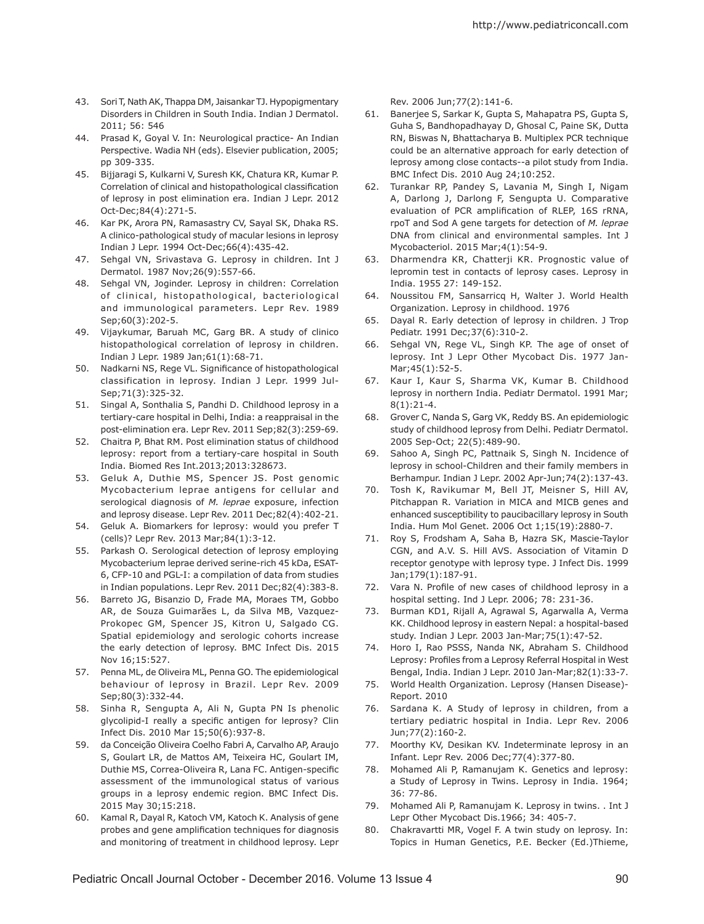- 43. Sori T, Nath AK, Thappa DM, Jaisankar TJ. Hypopigmentary Disorders in Children in South India. Indian J Dermatol. 2011; 56: 546
- 44. Prasad K, Goyal V. In: Neurological practice- An Indian Perspective. Wadia NH (eds). Elsevier publication, 2005; pp 309-335.
- 45. Bijjaragi S, Kulkarni V, Suresh KK, Chatura KR, Kumar P. Correlation of clinical and histopathological classification of leprosy in post elimination era. Indian J Lepr. 2012 Oct-Dec;84(4):271-5.
- 46. Kar PK, Arora PN, Ramasastry CV, Sayal SK, Dhaka RS. A clinico-pathological study of macular lesions in leprosy Indian J Lepr. 1994 Oct-Dec;66(4):435-42.
- 47. Sehgal VN, Srivastava G. Leprosy in children. Int J Dermatol. 1987 Nov;26(9):557-66.
- 48. Sehgal VN, Joginder. Leprosy in children: Correlation of clinical, histopathological, bacteriological and immunological parameters. Lepr Rev. 1989 Sep;60(3):202-5.
- 49. Vijaykumar, Baruah MC, Garg BR. A study of clinico histopathological correlation of leprosy in children. Indian J Lepr. 1989 Jan;61(1):68-71.
- 50. Nadkarni NS, Rege VL. Significance of histopathological classification in leprosy. Indian J Lepr. 1999 Jul-Sep;71(3):325-32.
- 51. Singal A, Sonthalia S, Pandhi D. Childhood leprosy in a tertiary-care hospital in Delhi, India: a reappraisal in the post-elimination era. Lepr Rev. 2011 Sep;82(3):259-69.
- 52. Chaitra P, Bhat RM. Post elimination status of childhood leprosy: report from a tertiary-care hospital in South India. Biomed Res Int.2013;2013:328673.
- 53. Geluk A, Duthie MS, Spencer JS. Post genomic Mycobacterium leprae antigens for cellular and serological diagnosis of *M. leprae* exposure, infection and leprosy disease. Lepr Rev. 2011 Dec;82(4):402-21.
- 54. Geluk A. Biomarkers for leprosy: would you prefer T (cells)? Lepr Rev. 2013 Mar;84(1):3-12.
- 55. Parkash O. Serological detection of leprosy employing Mycobacterium leprae derived serine-rich 45 kDa, ESAT-6, CFP-10 and PGL-I: a compilation of data from studies in Indian populations. Lepr Rev. 2011 Dec;82(4):383-8.
- 56. Barreto JG, Bisanzio D, Frade MA, Moraes TM, Gobbo AR, de Souza Guimarães L, da Silva MB, Vazquez-Prokopec GM, Spencer JS, Kitron U, Salgado CG. Spatial epidemiology and serologic cohorts increase the early detection of leprosy. BMC Infect Dis. 2015 Nov 16;15:527.
- 57. Penna ML, de Oliveira ML, Penna GO. The epidemiological behaviour of leprosy in Brazil. Lepr Rev. 2009 Sep;80(3):332-44.
- 58. Sinha R, Sengupta A, Ali N, Gupta PN Is phenolic glycolipid-I really a specific antigen for leprosy? Clin Infect Dis. 2010 Mar 15;50(6):937-8.
- 59. da Conceição Oliveira Coelho Fabri A, Carvalho AP, Araujo S, Goulart LR, de Mattos AM, Teixeira HC, Goulart IM, Duthie MS, Correa-Oliveira R, Lana FC. Antigen-specific assessment of the immunological status of various groups in a leprosy endemic region. BMC Infect Dis. 2015 May 30;15:218.
- 60. Kamal R, Dayal R, Katoch VM, Katoch K. Analysis of gene probes and gene amplification techniques for diagnosis and monitoring of treatment in childhood leprosy. Lepr

Rev. 2006 Jun;77(2):141-6.

- 61. Banerjee S, Sarkar K, Gupta S, Mahapatra PS, Gupta S, Guha S, Bandhopadhayay D, Ghosal C, Paine SK, Dutta RN, Biswas N, Bhattacharya B. Multiplex PCR technique could be an alternative approach for early detection of leprosy among close contacts--a pilot study from India. BMC Infect Dis. 2010 Aug 24;10:252.
- 62. Turankar RP, Pandey S, Lavania M, Singh I, Nigam A, Darlong J, Darlong F, Sengupta U. Comparative evaluation of PCR amplification of RLEP, 16S rRNA, rpoT and Sod A gene targets for detection of *M. leprae*  DNA from clinical and environmental samples. Int J Mycobacteriol. 2015 Mar;4(1):54-9.
- 63. Dharmendra KR, Chatterji KR. Prognostic value of lepromin test in contacts of leprosy cases. Leprosy in India. 1955 27: 149-152.
- 64. Noussitou FM, Sansarricq H, Walter J. World Health Organization. Leprosy in childhood. 1976
- 65. Dayal R. Early detection of leprosy in children. J Trop Pediatr. 1991 Dec;37(6):310-2.
- 66. Sehgal VN, Rege VL, Singh KP. The age of onset of leprosy. Int J Lepr Other Mycobact Dis. 1977 Jan-Mar;45(1):52-5.
- 67. Kaur I, Kaur S, Sharma VK, Kumar B. Childhood leprosy in northern India. Pediatr Dermatol. 1991 Mar; 8(1):21-4.
- 68. Grover C, Nanda S, Garg VK, Reddy BS. An epidemiologic study of childhood leprosy from Delhi. Pediatr Dermatol. 2005 Sep-Oct; 22(5):489-90.
- 69. Sahoo A, Singh PC, Pattnaik S, Singh N. Incidence of leprosy in school-Children and their family members in Berhampur. Indian J Lepr. 2002 Apr-Jun;74(2):137-43.
- 70. Tosh K, Ravikumar M, Bell JT, Meisner S, Hill AV, Pitchappan R. Variation in MICA and MICB genes and enhanced susceptibility to paucibacillary leprosy in South India. Hum Mol Genet. 2006 Oct 1;15(19):2880-7.
- 71. Roy S, Frodsham A, Saha B, Hazra SK, Mascie-Taylor CGN, and A.V. S. Hill AVS. Association of Vitamin D receptor genotype with leprosy type. J Infect Dis. 1999 Jan;179(1):187-91.
- 72. Vara N. Profile of new cases of childhood leprosy in a hospital setting. Ind J Lepr. 2006; 78: 231-36.
- 73. Burman KD1, Rijall A, Agrawal S, Agarwalla A, Verma KK. Childhood leprosy in eastern Nepal: a hospital-based study. Indian J Lepr. 2003 Jan-Mar;75(1):47-52.
- 74. Horo I, Rao PSSS, Nanda NK, Abraham S. Childhood Leprosy: Profiles from a Leprosy Referral Hospital in West Bengal, India. Indian J Lepr. 2010 Jan-Mar;82(1):33-7.
- 75. World Health Organization. Leprosy (Hansen Disease)- Report. 2010
- 76. Sardana K. A Study of leprosy in children, from a tertiary pediatric hospital in India. Lepr Rev. 2006 Jun;77(2):160-2.
- 77. Moorthy KV, Desikan KV. Indeterminate leprosy in an Infant. Lepr Rev. 2006 Dec;77(4):377-80.
- 78. Mohamed Ali P, Ramanujam K. Genetics and leprosy: a Study of Leprosy in Twins. Leprosy in India. 1964; 36: 77-86.
- 79. Mohamed Ali P, Ramanujam K. Leprosy in twins. . Int J Lepr Other Mycobact Dis.1966; 34: 405-7.
- 80. Chakravartti MR, Vogel F. A twin study on leprosy. In: Topics in Human Genetics, P.E. Becker (Ed.)Thieme,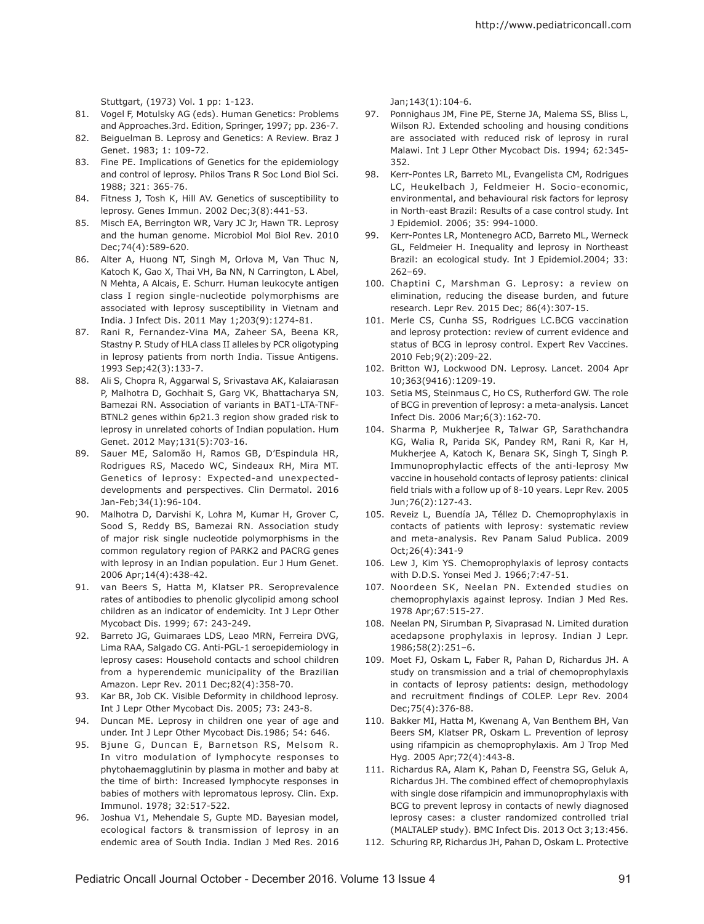Stuttgart, (1973) Vol. 1 pp: 1-123.

- 81. Vogel F, Motulsky AG (eds). Human Genetics: Problems and Approaches.3rd. Edition, Springer, 1997; pp. 236-7.
- 82. Beiguelman B. Leprosy and Genetics: A Review. Braz J Genet. 1983; 1: 109-72.
- 83. Fine PE. Implications of Genetics for the epidemiology and control of leprosy. Philos Trans R Soc Lond Biol Sci. 1988; 321: 365-76.
- 84. Fitness J, Tosh K, Hill AV. Genetics of susceptibility to leprosy. Genes Immun. 2002 Dec;3(8):441-53.
- 85. Misch EA, Berrington WR, Vary JC Jr, Hawn TR. Leprosy and the human genome. Microbiol Mol Biol Rev. 2010 Dec;74(4):589-620.
- 86. Alter A, Huong NT, Singh M, Orlova M, Van Thuc N, Katoch K, Gao X, Thai VH, Ba NN, N Carrington, L Abel, N Mehta, A Alcais, E. Schurr. Human leukocyte antigen class I region single-nucleotide polymorphisms are associated with leprosy susceptibility in Vietnam and India. J Infect Dis. 2011 May 1;203(9):1274-81.
- 87. Rani R, Fernandez-Vina MA, Zaheer SA, Beena KR, Stastny P. Study of HLA class II alleles by PCR oligotyping in leprosy patients from north India. Tissue Antigens. 1993 Sep;42(3):133-7.
- 88. Ali S, Chopra R, Aggarwal S, Srivastava AK, Kalaiarasan P, Malhotra D, Gochhait S, Garg VK, Bhattacharya SN, Bamezai RN. Association of variants in BAT1-LTA-TNF-BTNL2 genes within 6p21.3 region show graded risk to leprosy in unrelated cohorts of Indian population. Hum Genet. 2012 May;131(5):703-16.
- 89. Sauer ME, Salomão H, Ramos GB, D'Espindula HR, Rodrigues RS, Macedo WC, Sindeaux RH, Mira MT. Genetics of leprosy: Expected-and unexpecteddevelopments and perspectives. Clin Dermatol. 2016 Jan-Feb;34(1):96-104.
- 90. Malhotra D, Darvishi K, Lohra M, Kumar H, Grover C, Sood S, Reddy BS, Bamezai RN. Association study of major risk single nucleotide polymorphisms in the common regulatory region of PARK2 and PACRG genes with leprosy in an Indian population. Eur J Hum Genet. 2006 Apr;14(4):438-42.
- 91. van Beers S, Hatta M, Klatser PR. Seroprevalence rates of antibodies to phenolic glycolipid among school children as an indicator of endemicity. Int J Lepr Other Mycobact Dis. 1999; 67: 243-249.
- 92. Barreto JG, Guimaraes LDS, Leao MRN, Ferreira DVG, Lima RAA, Salgado CG. Anti-PGL-1 seroepidemiology in leprosy cases: Household contacts and school children from a hyperendemic municipality of the Brazilian Amazon. Lepr Rev. 2011 Dec;82(4):358-70.
- 93. Kar BR, Job CK. Visible Deformity in childhood leprosy. Int J Lepr Other Mycobact Dis. 2005; 73: 243-8.
- 94. Duncan ME. Leprosy in children one year of age and under. Int J Lepr Other Mycobact Dis.1986; 54: 646.
- 95. Bjune G, Duncan E, Barnetson RS, Melsom R. In vitro modulation of lymphocyte responses to phytohaemagglutinin by plasma in mother and baby at the time of birth: Increased lymphocyte responses in babies of mothers with lepromatous leprosy. Clin. Exp. Immunol. 1978; 32:517-522.
- 96. Joshua V1, Mehendale S, Gupte MD. Bayesian model, ecological factors & transmission of leprosy in an endemic area of South India. Indian J Med Res. 2016

Jan;143(1):104-6.

- 97. Ponnighaus JM, Fine PE, Sterne JA, Malema SS, Bliss L, Wilson RJ. Extended schooling and housing conditions are associated with reduced risk of leprosy in rural Malawi. Int J Lepr Other Mycobact Dis. 1994; 62:345- 352.
- 98. Kerr-Pontes LR, Barreto ML, Evangelista CM, Rodrigues LC, Heukelbach J, Feldmeier H. Socio-economic, environmental, and behavioural risk factors for leprosy in North-east Brazil: Results of a case control study. Int J Epidemiol. 2006; 35: 994-1000.
- 99. Kerr-Pontes LR, Montenegro ACD, Barreto ML, Werneck GL, Feldmeier H. Inequality and leprosy in Northeast Brazil: an ecological study. Int J Epidemiol.2004; 33: 262–69.
- 100. Chaptini C, Marshman G. Leprosy: a review on elimination, reducing the disease burden, and future research. Lepr Rev. 2015 Dec; 86(4):307-15.
- 101. Merle CS, Cunha SS, Rodrigues LC.BCG vaccination and leprosy protection: review of current evidence and status of BCG in leprosy control. Expert Rev Vaccines. 2010 Feb;9(2):209-22.
- 102. Britton WJ, Lockwood DN. Leprosy. Lancet. 2004 Apr 10;363(9416):1209-19.
- 103. Setia MS, Steinmaus C, Ho CS, Rutherford GW. The role of BCG in prevention of leprosy: a meta-analysis. Lancet Infect Dis. 2006 Mar;6(3):162-70.
- 104. Sharma P, Mukherjee R, Talwar GP, Sarathchandra KG, Walia R, Parida SK, Pandey RM, Rani R, Kar H, Mukherjee A, Katoch K, Benara SK, Singh T, Singh P. Immunoprophylactic effects of the anti-leprosy Mw vaccine in household contacts of leprosy patients: clinical field trials with a follow up of 8-10 years. Lepr Rev. 2005 Jun;76(2):127-43.
- 105. Reveiz L, Buendía JA, Téllez D. Chemoprophylaxis in contacts of patients with leprosy: systematic review and meta-analysis. Rev Panam Salud Publica. 2009 Oct;26(4):341-9
- 106. Lew J, Kim YS. Chemoprophylaxis of leprosy contacts with D.D.S. Yonsei Med J. 1966;7:47-51.
- 107. Noordeen SK, Neelan PN. Extended studies on chemoprophylaxis against leprosy. Indian J Med Res. 1978 Apr;67:515-27.
- 108. Neelan PN, Sirumban P, Sivaprasad N. Limited duration acedapsone prophylaxis in leprosy. Indian J Lepr. 1986;58(2):251–6.
- 109. Moet FJ, Oskam L, Faber R, Pahan D, Richardus JH. A study on transmission and a trial of chemoprophylaxis in contacts of leprosy patients: design, methodology and recruitment findings of COLEP. Lepr Rev. 2004 Dec;75(4):376-88.
- 110. Bakker MI, Hatta M, Kwenang A, Van Benthem BH, Van Beers SM, Klatser PR, Oskam L. Prevention of leprosy using rifampicin as chemoprophylaxis. Am J Trop Med Hyg. 2005 Apr;72(4):443-8.
- 111. Richardus RA, Alam K, Pahan D, Feenstra SG, Geluk A, Richardus JH. The combined effect of chemoprophylaxis with single dose rifampicin and immunoprophylaxis with BCG to prevent leprosy in contacts of newly diagnosed leprosy cases: a cluster randomized controlled trial (MALTALEP study). BMC Infect Dis. 2013 Oct 3;13:456.
- 112. Schuring RP, Richardus JH, Pahan D, Oskam L. Protective